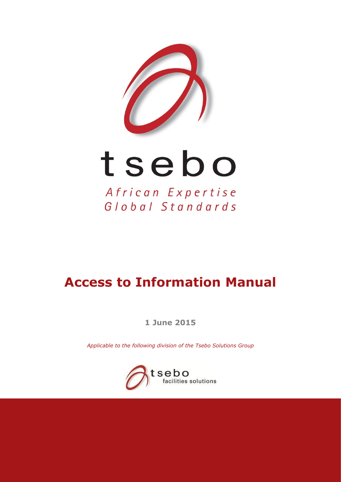

# tsebo

African Expertise Global Standards

## **Access to Information Manual**

**1 June 2015**

*Applicable to the following division of the Tsebo Solutions Group*

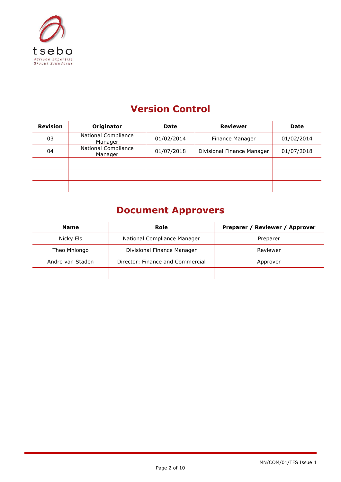

## **Version Control**

| <b>Revision</b> | Originator                     | <b>Date</b> | <b>Reviewer</b>            | <b>Date</b> |
|-----------------|--------------------------------|-------------|----------------------------|-------------|
| 03              | National Compliance<br>Manager | 01/02/2014  | Finance Manager            | 01/02/2014  |
| 04              | National Compliance<br>Manager | 01/07/2018  | Divisional Finance Manager | 01/07/2018  |
|                 |                                |             |                            |             |
|                 |                                |             |                            |             |
|                 |                                |             |                            |             |

### **Document Approvers**

| <b>Name</b>      | Role                             | Preparer / Reviewer / Approver |
|------------------|----------------------------------|--------------------------------|
| Nicky Els        | National Compliance Manager      | Preparer                       |
| Theo Mhlongo     | Divisional Finance Manager       | Reviewer                       |
| Andre van Staden | Director: Finance and Commercial | Approver                       |
|                  |                                  |                                |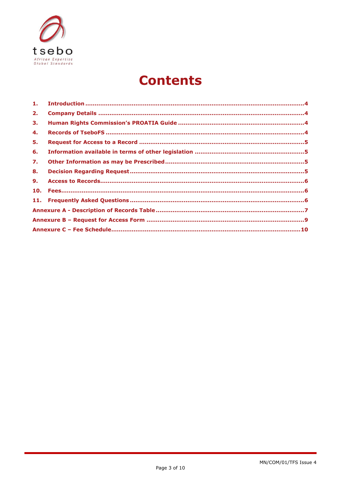

## **Contents**

| 2.  |  |
|-----|--|
| 3.  |  |
| 4.  |  |
| 5.  |  |
| 6.  |  |
| 7.  |  |
| 8.  |  |
| 9.  |  |
| 10. |  |
|     |  |
|     |  |
|     |  |
|     |  |
|     |  |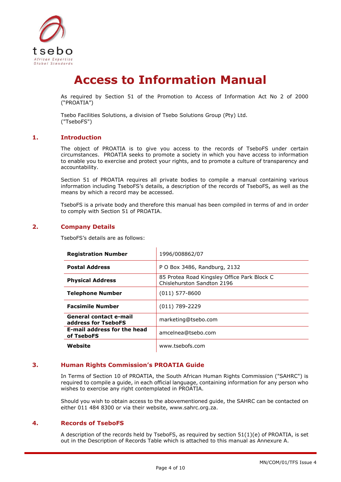

## **Access to Information Manual**

As required by Section 51 of the Promotion to Access of Information Act No 2 of 2000 ("PROATIA")

Tsebo Facilities Solutions, a division of Tsebo Solutions Group (Pty) Ltd. ("TseboFS")

#### <span id="page-3-0"></span>**1. Introduction**

The object of PROATIA is to give you access to the records of TseboFS under certain circumstances. PROATIA seeks to promote a society in which you have access to information to enable you to exercise and protect your rights, and to promote a culture of transparency and accountability.

Section 51 of PROATIA requires all private bodies to compile a manual containing various information including TseboFS's details, a description of the records of TseboFS, as well as the means by which a record may be accessed.

TseboFS is a private body and therefore this manual has been compiled in terms of and in order to comply with Section 51 of PROATIA.

#### <span id="page-3-1"></span>**2. Company Details**

TseboFS's details are as follows:

| <b>Registration Number</b>                       | 1996/008862/07                                                            |
|--------------------------------------------------|---------------------------------------------------------------------------|
| <b>Postal Address</b>                            | P O Box 3486, Randburg, 2132                                              |
| <b>Physical Address</b>                          | 85 Protea Road Kingsley Office Park Block C<br>Chislehurston Sandton 2196 |
| <b>Telephone Number</b>                          | $(011)$ 577-8600                                                          |
| <b>Facsimile Number</b>                          | $(011) 789 - 2229$                                                        |
| General contact e-mail<br>address for TseboFS    | marketing@tsebo.com                                                       |
| <b>E-mail address for the head</b><br>of TseboFS | amcelnea@tsebo.com                                                        |
| Website                                          | www.tsebofs.com                                                           |

#### <span id="page-3-2"></span>**3. Human Rights Commission's PROATIA Guide**

In Terms of Section 10 of PROATIA, the South African Human Rights Commission ("SAHRC") is required to compile a guide, in each official language, containing information for any person who wishes to exercise any right contemplated in PROATIA.

Should you wish to obtain access to the abovementioned guide, the SAHRC can be contacted on either 011 484 8300 or via their website, [www.sahrc.org.za.](http://www.sahrc.org.za/)

#### <span id="page-3-3"></span>**4. Records of TseboFS**

A description of the records held by TseboFS, as required by section 51(1)(e) of PROATIA, is set out in the Description of Records Table which is attached to this manual as Annexure A.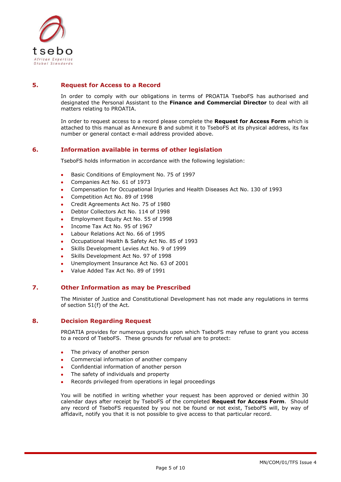

#### <span id="page-4-0"></span>**5. Request for Access to a Record**

In order to comply with our obligations in terms of PROATIA TseboFS has authorised and designated the Personal Assistant to the **Finance and Commercial Director** to deal with all matters relating to PROATIA.

In order to request access to a record please complete the **Request for Access Form** which is attached to this manual as Annexure B and submit it to TseboFS at its physical address, its fax number or general contact e-mail address provided above.

#### <span id="page-4-1"></span>**6. Information available in terms of other legislation**

TseboFS holds information in accordance with the following legislation:

- Basic Conditions of Employment No. 75 of 1997
- Companies Act No. 61 of 1973
- Compensation for Occupational Injuries and Health Diseases Act No. 130 of 1993
- Competition Act No. 89 of 1998
- Credit Agreements Act No. 75 of 1980
- Debtor Collectors Act No. 114 of 1998
- Employment Equity Act No. 55 of 1998
- Income Tax Act No. 95 of 1967
- Labour Relations Act No. 66 of 1995
- Occupational Health & Safety Act No. 85 of 1993
- Skills Development Levies Act No. 9 of 1999
- Skills Development Act No. 97 of 1998
- Unemployment Insurance Act No. 63 of 2001
- Value Added Tax Act No. 89 of 1991

#### <span id="page-4-2"></span>**7. Other Information as may be Prescribed**

The Minister of Justice and Constitutional Development has not made any regulations in terms of section 51(f) of the Act.

#### <span id="page-4-3"></span>**8. Decision Regarding Request**

PROATIA provides for numerous grounds upon which TseboFS may refuse to grant you access to a record of TseboFS. These grounds for refusal are to protect:

- The privacy of another person
- Commercial information of another company
- Confidential information of another person
- The safety of individuals and property
- Records privileged from operations in legal proceedings

You will be notified in writing whether your request has been approved or denied within 30 calendar days after receipt by TseboFS of the completed **Request for Access Form**. Should any record of TseboFS requested by you not be found or not exist, TseboFS will, by way of affidavit, notify you that it is not possible to give access to that particular record.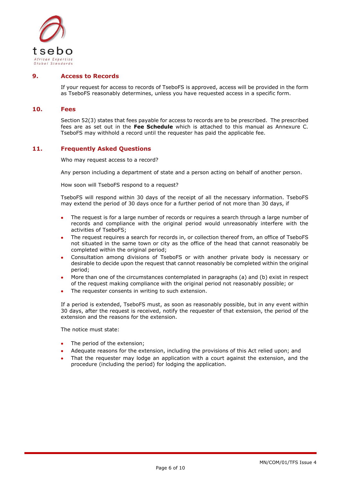

#### <span id="page-5-0"></span>**9. Access to Records**

If your request for access to records of TseboFS is approved, access will be provided in the form as TseboFS reasonably determines, unless you have requested access in a specific form.

#### <span id="page-5-1"></span>**10. Fees**

Section 52(3) states that fees payable for access to records are to be prescribed. The prescribed fees are as set out in the **Fee Schedule** which is attached to this manual as Annexure C. TseboFS may withhold a record until the requester has paid the applicable fee.

#### <span id="page-5-2"></span>**11. Frequently Asked Questions**

Who may request access to a record?

Any person including a department of state and a person acting on behalf of another person.

How soon will TseboFS respond to a request?

TseboFS will respond within 30 days of the receipt of all the necessary information. TseboFS may extend the period of 30 days once for a further period of not more than 30 days, if

- The request is for a large number of records or requires a search through a large number of records and compliance with the original period would unreasonably interfere with the activities of TseboFS;
- The request requires a search for records in, or collection thereof from, an office of TseboFS not situated in the same town or city as the office of the head that cannot reasonably be completed within the original period;
- Consultation among divisions of TseboFS or with another private body is necessary or desirable to decide upon the request that cannot reasonably be completed within the original period;
- More than one of the circumstances contemplated in paragraphs (a) and (b) exist in respect of the request making compliance with the original period not reasonably possible; or
- The requester consents in writing to such extension.

If a period is extended, TseboFS must, as soon as reasonably possible, but in any event within 30 days, after the request is received, notify the requester of that extension, the period of the extension and the reasons for the extension.

The notice must state:

- The period of the extension;
- Adequate reasons for the extension, including the provisions of this Act relied upon; and
- That the requester may lodge an application with a court against the extension, and the procedure (including the period) for lodging the application.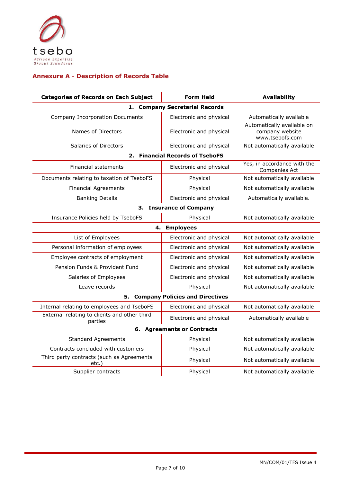

#### <span id="page-6-0"></span>**Annexure A - Description of Records Table**

| <b>Categories of Records on Each Subject</b>            | <b>Form Held</b>                   | <b>Availability</b>                                              |  |  |  |
|---------------------------------------------------------|------------------------------------|------------------------------------------------------------------|--|--|--|
| 1. Company Secretarial Records                          |                                    |                                                                  |  |  |  |
| <b>Company Incorporation Documents</b>                  | Electronic and physical            | Automatically available                                          |  |  |  |
| Names of Directors                                      | Electronic and physical            | Automatically available on<br>company website<br>www.tsebofs.com |  |  |  |
| Salaries of Directors                                   | Electronic and physical            | Not automatically available                                      |  |  |  |
|                                                         | 2. Financial Records of TseboFS    |                                                                  |  |  |  |
| <b>Financial statements</b>                             | Electronic and physical            | Yes, in accordance with the<br>Companies Act                     |  |  |  |
| Documents relating to taxation of TseboFS               | Physical                           | Not automatically available                                      |  |  |  |
| <b>Financial Agreements</b>                             | Physical                           | Not automatically available                                      |  |  |  |
| <b>Banking Details</b>                                  | Electronic and physical            | Automatically available.                                         |  |  |  |
|                                                         | 3. Insurance of Company            |                                                                  |  |  |  |
| Insurance Policies held by TseboFS                      | Physical                           | Not automatically available                                      |  |  |  |
| 4.                                                      | <b>Employees</b>                   |                                                                  |  |  |  |
| List of Employees                                       | Electronic and physical            | Not automatically available                                      |  |  |  |
| Personal information of employees                       | Electronic and physical            | Not automatically available                                      |  |  |  |
| Employee contracts of employment                        | Electronic and physical            | Not automatically available                                      |  |  |  |
| Pension Funds & Provident Fund                          | Electronic and physical            | Not automatically available                                      |  |  |  |
| Salaries of Employees                                   | Electronic and physical            | Not automatically available                                      |  |  |  |
| Leave records                                           | Physical                           | Not automatically available                                      |  |  |  |
|                                                         | 5. Company Policies and Directives |                                                                  |  |  |  |
| Internal relating to employees and TseboFS              | Electronic and physical            | Not automatically available                                      |  |  |  |
| External relating to clients and other third<br>parties | Electronic and physical            | Automatically available                                          |  |  |  |
| 6. Agreements or Contracts                              |                                    |                                                                  |  |  |  |
| <b>Standard Agreements</b>                              | Physical                           | Not automatically available                                      |  |  |  |
| Contracts concluded with customers                      | Physical                           | Not automatically available                                      |  |  |  |
| Third party contracts (such as Agreements<br>etc.)      | Physical                           | Not automatically available                                      |  |  |  |
| Supplier contracts                                      | Physical                           | Not automatically available                                      |  |  |  |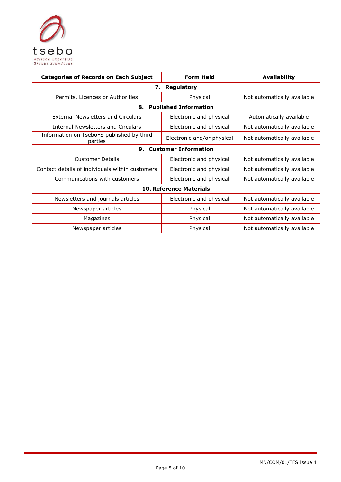

| <b>Categories of Records on Each Subject</b>         | <b>Form Held</b>           | <b>Availability</b>         |  |  |
|------------------------------------------------------|----------------------------|-----------------------------|--|--|
| <b>Regulatory</b><br>7.                              |                            |                             |  |  |
| Permits, Licences or Authorities                     | Physical                   | Not automatically available |  |  |
| <b>Published Information</b><br>8.                   |                            |                             |  |  |
| <b>External Newsletters and Circulars</b>            | Electronic and physical    | Automatically available     |  |  |
| Internal Newsletters and Circulars                   | Electronic and physical    | Not automatically available |  |  |
| Information on TseboFS published by third<br>parties | Electronic and/or physical | Not automatically available |  |  |
| <b>Customer Information</b><br>9.                    |                            |                             |  |  |
| <b>Customer Details</b>                              | Electronic and physical    | Not automatically available |  |  |
| Contact details of individuals within customers      | Electronic and physical    | Not automatically available |  |  |
| Communications with customers                        | Electronic and physical    | Not automatically available |  |  |
| <b>10. Reference Materials</b>                       |                            |                             |  |  |
| Newsletters and journals articles                    | Electronic and physical    | Not automatically available |  |  |
| Newspaper articles                                   | Physical                   | Not automatically available |  |  |
| Magazines                                            | Physical                   | Not automatically available |  |  |
| Newspaper articles                                   | Physical                   | Not automatically available |  |  |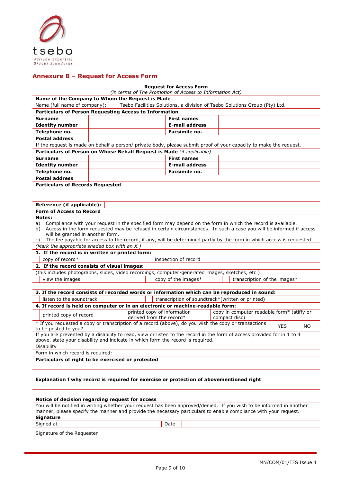

#### <span id="page-8-0"></span>**Annexure B – Request for Access Form**

#### **Request for Access Form**

| <b>Request for Access Form</b>                                                                                                                                                                             |  |  |                                                                                                                       |  |                                                             |            |     |
|------------------------------------------------------------------------------------------------------------------------------------------------------------------------------------------------------------|--|--|-----------------------------------------------------------------------------------------------------------------------|--|-------------------------------------------------------------|------------|-----|
| (in terms of The Promotion of Access to Information Act)<br>Name of the Company to Whom the Request is Made                                                                                                |  |  |                                                                                                                       |  |                                                             |            |     |
| Name (full name of company):                                                                                                                                                                               |  |  | Tsebo Facilities Solutions, a division of Tsebo Solutions Group (Pty) Ltd.                                            |  |                                                             |            |     |
| Particulars of Person Requesting Access to Information                                                                                                                                                     |  |  |                                                                                                                       |  |                                                             |            |     |
| Surname                                                                                                                                                                                                    |  |  | <b>First names</b>                                                                                                    |  |                                                             |            |     |
| <b>Identity number</b>                                                                                                                                                                                     |  |  | <b>E-mail address</b>                                                                                                 |  |                                                             |            |     |
| Telephone no.                                                                                                                                                                                              |  |  | Facsimile no.                                                                                                         |  |                                                             |            |     |
| <b>Postal address</b>                                                                                                                                                                                      |  |  |                                                                                                                       |  |                                                             |            |     |
| If the request is made on behalf a person/private body, please submit proof of your capacity to make the request.                                                                                          |  |  |                                                                                                                       |  |                                                             |            |     |
| Particulars of Person on Whose Behalf Request is Made (if applicable)                                                                                                                                      |  |  |                                                                                                                       |  |                                                             |            |     |
| <b>Surname</b>                                                                                                                                                                                             |  |  | <b>First names</b>                                                                                                    |  |                                                             |            |     |
| <b>Identity number</b>                                                                                                                                                                                     |  |  | <b>E-mail address</b>                                                                                                 |  |                                                             |            |     |
| Telephone no.                                                                                                                                                                                              |  |  | Facsimile no.                                                                                                         |  |                                                             |            |     |
| <b>Postal address</b>                                                                                                                                                                                      |  |  |                                                                                                                       |  |                                                             |            |     |
| <b>Particulars of Records Requested</b>                                                                                                                                                                    |  |  |                                                                                                                       |  |                                                             |            |     |
|                                                                                                                                                                                                            |  |  |                                                                                                                       |  |                                                             |            |     |
|                                                                                                                                                                                                            |  |  |                                                                                                                       |  |                                                             |            |     |
| Reference (if applicable):                                                                                                                                                                                 |  |  |                                                                                                                       |  |                                                             |            |     |
| <b>Form of Access to Record</b>                                                                                                                                                                            |  |  |                                                                                                                       |  |                                                             |            |     |
| Notes:                                                                                                                                                                                                     |  |  |                                                                                                                       |  |                                                             |            |     |
| a)<br>Access in the form requested may be refused in certain circumstances. In such a case you will be informed if access<br>b)                                                                            |  |  | Compliance with your request in the specified form may depend on the form in which the record is available.           |  |                                                             |            |     |
| will be granted in another form.                                                                                                                                                                           |  |  |                                                                                                                       |  |                                                             |            |     |
| C)                                                                                                                                                                                                         |  |  | The fee payable for access to the record, if any, will be determined partly by the form in which access is requested. |  |                                                             |            |     |
| (Mark the appropriate shaded box with an X.)                                                                                                                                                               |  |  |                                                                                                                       |  |                                                             |            |     |
| 1. If the record is in written or printed form:                                                                                                                                                            |  |  |                                                                                                                       |  |                                                             |            |     |
| copy of record*<br>inspection of record                                                                                                                                                                    |  |  |                                                                                                                       |  |                                                             |            |     |
| 2. If the record consists of visual images:                                                                                                                                                                |  |  |                                                                                                                       |  |                                                             |            |     |
| (this includes photographs, slides, video recordings, computer-generated images, sketches, etc.):                                                                                                          |  |  |                                                                                                                       |  |                                                             |            |     |
| view the images                                                                                                                                                                                            |  |  | copy of the images*                                                                                                   |  | transcription of the images*                                |            |     |
|                                                                                                                                                                                                            |  |  |                                                                                                                       |  |                                                             |            |     |
| 3. If the record consists of recorded words or information which can be reproduced in sound:                                                                                                               |  |  |                                                                                                                       |  |                                                             |            |     |
| listen to the soundtrack                                                                                                                                                                                   |  |  | transcription of soundtrack*(written or printed)                                                                      |  |                                                             |            |     |
| 4. If record is held on computer or in an electronic or machine-readable form:                                                                                                                             |  |  |                                                                                                                       |  |                                                             |            |     |
| printed copy of record                                                                                                                                                                                     |  |  | printed copy of information<br>derived from the record*                                                               |  | copy in computer readable form* (stiffy or<br>compact disc) |            |     |
| * If you requested a copy or transcription of a record (above), do you wish the copy or transactions                                                                                                       |  |  |                                                                                                                       |  |                                                             | <b>YES</b> | NO. |
| to be posted to you?                                                                                                                                                                                       |  |  |                                                                                                                       |  |                                                             |            |     |
| If you are prevented by a disability to read, view or listen to the record in the form of access provided for in 1 to 4<br>above, state your disability and indicate in which form the record is required. |  |  |                                                                                                                       |  |                                                             |            |     |
| Disability                                                                                                                                                                                                 |  |  |                                                                                                                       |  |                                                             |            |     |
| Form in which record is required:                                                                                                                                                                          |  |  |                                                                                                                       |  |                                                             |            |     |
| Particulars of right to be exercised or protected                                                                                                                                                          |  |  |                                                                                                                       |  |                                                             |            |     |
|                                                                                                                                                                                                            |  |  |                                                                                                                       |  |                                                             |            |     |
|                                                                                                                                                                                                            |  |  |                                                                                                                       |  |                                                             |            |     |
| Explanation f why record is required for exercise or protection of abovementioned right                                                                                                                    |  |  |                                                                                                                       |  |                                                             |            |     |
|                                                                                                                                                                                                            |  |  |                                                                                                                       |  |                                                             |            |     |
|                                                                                                                                                                                                            |  |  |                                                                                                                       |  |                                                             |            |     |
| Notice of decision regarding request for access                                                                                                                                                            |  |  |                                                                                                                       |  |                                                             |            |     |

#### You will be notified in writing whether your request has been approved/denied. If you wish to be informed in another manner, please specify the manner and provide the necessary particulars to enable compliance with your request. **Signature** Signed at **Date** Signature of the Requester